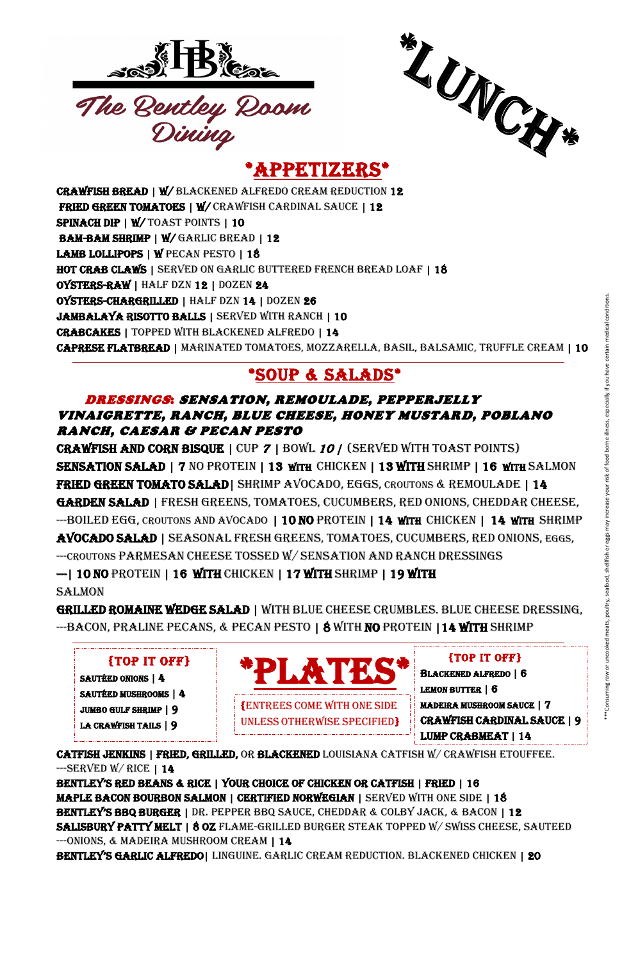





**\*** APPETIZERS\*

CRAWFISH BREAD | W/ BLACKENED ALFREDO CREAM REDUCTION 12 FRIED GREEN TOMATOES | W/ CRAWFISH CARDINAL SAUCE | 12 SPINACH DIP | W/ TOAST POINTS | 10 BAM-BAM SHRIMP | W/ GARLIC BREAD | 12 LAMB LOLLIPOPS | W PECAN PESTO | 18 HOT CRAB CLAWS | SERVED ON GARLIC BUTTERED FRENCH BREAD LOAF | 18 OYSTERS-RAW | HALF DZN 12 | DOZEN 24 OYSTERS-CHARGRILLED | HALF DZN 14 | DOZEN 26 Jambalaya risotto balls | SERVED WITH RANCH | 10 Crabcakes | topped with blackened alfredo | 14 Caprese flatbread | marinated tomatoes, mozzarella, basil, balsamic, truffle cream | 10

CRAWFISH AND CORN BISQUE | CUP <sup>7</sup> | BOWL <sup>10</sup> | (SERVED WITH TOAST POINTS) SENSATION SALAD | 7 NO PROTEIN | 13 WITH CHICKEN | 13 WITH SHRIMP | 16 WITH SALMON FRIED GREEN TOMATO SALAD | SHRIMP AVOCADO, EGGS, CROUTONS & REMOULADE | 14 GARDEN SALAD | FRESH GREENS, TOMATOES, CUCUMBERS, RED ONIONS, CHEDDAR CHEESE, --BOILED EGG, CROUTONS AND AVOCADO | 10 NO PROTEIN | 14 WITH CHICKEN | 14 WITH SHRIMP AVOCADO SALAD | SEASONAL FRESH GREENS, TOMATOES, CUCUMBERS, RED ONIONS, EGGS, ---CROUTONS PARMESAN CHEESE TOSSED W/ SENSATION AND RANCH DRESSINGS --| 10 NO PROTEIN | 16 WITH CHICKEN | 17 WITH SHRIMP | 19 WITH **SALMON** EXALUSTRICUTE CREAM 10<br>
SALSANIC, TRUFFLE CREAM 10<br>
THE TOAST POINTS)<br>
HISHRIMP | 16 WITH SALMON<br>
NS & REMOULADE | 14<br>
ONIONS, CHEDDAR CHEESE,<br>
CHICKEN | 14 WITH SHRIMP<br>
MABERS, RED ONIONS, EGGS,<br>
CHICKEN | 14 WITH SHRIMP<br>

#### \*SOUP & SALADS\*

GRILLED ROMAINE WEDGE SALAD | WITH BLUE CHEESE CRUMBLES. BLUE CHEESE DRESSING, --BACON, PRALINE PECANS, & PECAN PESTO | 8 WITH NO PROTEIN | 14 WITH SHRIMP

#### DRESSINGS: SENSATION, REMOULADE, PEPPERJELLY VINAIGRETTE, RANCH, BLUE CHEESE, HONEY MUSTARD, POBLANO RANCH, CAESAR & PECAN PESTO

CATFISH JENKINS | FRIED, GRILLED, OR BLACKENED LOUISIANA CATFISH W/ CRAWFISH ETOUFFEE.  $-$ SERVED W/RICE | 14

Bentley's Red Beans & Rice | youR choice of chicken oR catfish | fRied | 16 MAPLE BACON BOURBON SALMON | CERTIFIED NORWEGIAN | SERVED WITH ONE SIDE | 18 Bentley's BBQ BuRGeR | DR. PEPPER BBQ SAUCE, CHEDDAR & COLBY JACK, & BACON | 12 Salisbury patty melt | 8 oz flame-grilled burger steak topped w/ Swiss cheese, sauteed --- ONIONS, & MADEIRA MUSHROOM CREAM | 14 Bentley's GaRlic alfRedo| Linguine. Garlic cream reduction. Blackened chicken | 20



{TOP IT OFF} BLACKENED ALFREDO | 6 LEMON BUTTER | 6 MADEIRA MUSHROOM SAUCE | 7



#### {TOP IT OFF}

SAUTÉED ONIONS | 4 SAUTÉED MUSHROOMS | 4 JUMBO GULF SHRIMP | 9 LA CRAWFISH TAILS | 9

.

UNLESS OTHERWISE SPECIFIED}